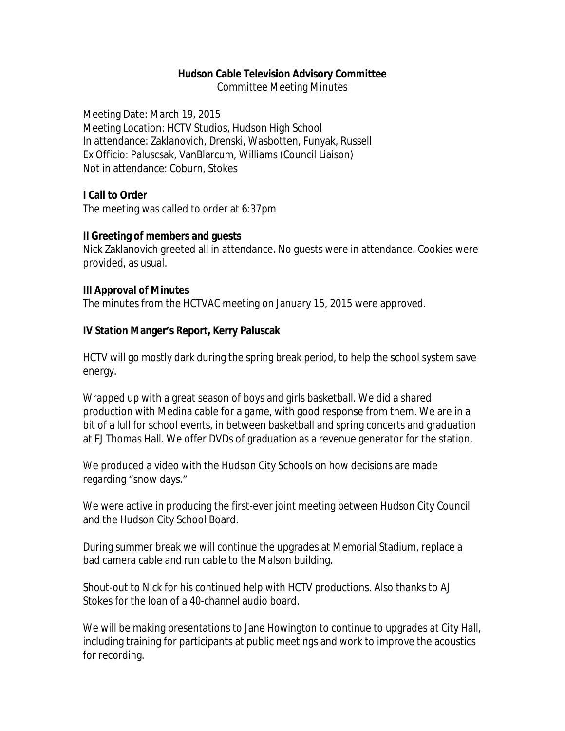### **Hudson Cable Television Advisory Committee**

Committee Meeting Minutes

Meeting Date: March 19, 2015 Meeting Location: HCTV Studios, Hudson High School In attendance: Zaklanovich, Drenski, Wasbotten, Funyak, Russell Ex Officio: Paluscsak, VanBlarcum, Williams (Council Liaison) Not in attendance: Coburn, Stokes

# **I Call to Order**

The meeting was called to order at 6:37pm

### **II Greeting of members and guests**

Nick Zaklanovich greeted all in attendance. No guests were in attendance. Cookies were provided, as usual.

### **III Approval of Minutes**

The minutes from the HCTVAC meeting on January 15, 2015 were approved.

# **IV Station Manger's Report, Kerry Paluscak**

HCTV will go mostly dark during the spring break period, to help the school system save energy.

Wrapped up with a great season of boys and girls basketball. We did a shared production with Medina cable for a game, with good response from them. We are in a bit of a lull for school events, in between basketball and spring concerts and graduation at EJ Thomas Hall. We offer DVDs of graduation as a revenue generator for the station.

We produced a video with the Hudson City Schools on how decisions are made regarding "snow days."

We were active in producing the first-ever joint meeting between Hudson City Council and the Hudson City School Board.

During summer break we will continue the upgrades at Memorial Stadium, replace a bad camera cable and run cable to the Malson building.

Shout-out to Nick for his continued help with HCTV productions. Also thanks to AJ Stokes for the loan of a 40-channel audio board.

We will be making presentations to Jane Howington to continue to upgrades at City Hall, including training for participants at public meetings and work to improve the acoustics for recording.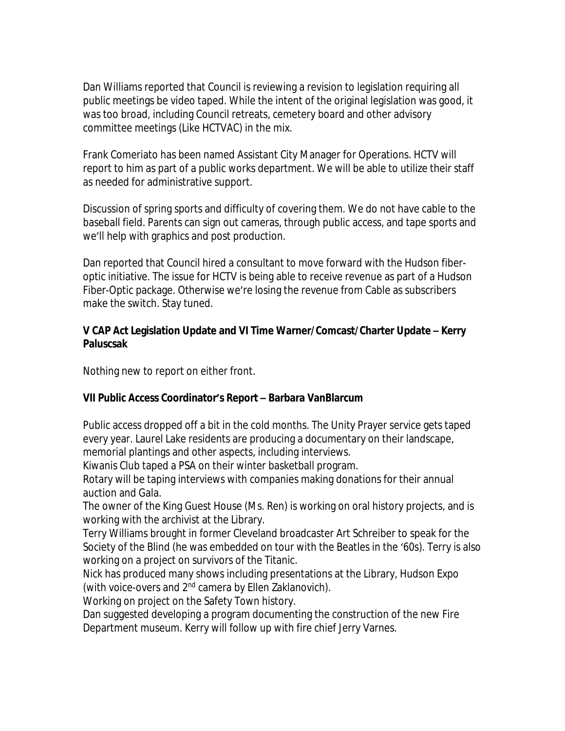Dan Williams reported that Council is reviewing a revision to legislation requiring all public meetings be video taped. While the intent of the original legislation was good, it was too broad, including Council retreats, cemetery board and other advisory committee meetings (Like HCTVAC) in the mix.

Frank Comeriato has been named Assistant City Manager for Operations. HCTV will report to him as part of a public works department. We will be able to utilize their staff as needed for administrative support.

Discussion of spring sports and difficulty of covering them. We do not have cable to the baseball field. Parents can sign out cameras, through public access, and tape sports and we'll help with graphics and post production.

Dan reported that Council hired a consultant to move forward with the Hudson fiberoptic initiative. The issue for HCTV is being able to receive revenue as part of a Hudson Fiber-Optic package. Otherwise we're losing the revenue from Cable as subscribers make the switch. Stay tuned.

# **V CAP Act Legislation Update and VI Time Warner/Comcast/Charter Update – Kerry Paluscsak**

Nothing new to report on either front.

# **VII Public Access Coordinator's Report – Barbara VanBlarcum**

Public access dropped off a bit in the cold months. The Unity Prayer service gets taped every year. Laurel Lake residents are producing a documentary on their landscape, memorial plantings and other aspects, including interviews.

Kiwanis Club taped a PSA on their winter basketball program.

Rotary will be taping interviews with companies making donations for their annual auction and Gala.

The owner of the King Guest House (Ms. Ren) is working on oral history projects, and is working with the archivist at the Library.

Terry Williams brought in former Cleveland broadcaster Art Schreiber to speak for the Society of the Blind (he was embedded on tour with the Beatles in the '60s). Terry is also working on a project on survivors of the Titanic.

Nick has produced many shows including presentations at the Library, Hudson Expo (with voice-overs and 2<sup>nd</sup> camera by Ellen Zaklanovich).

Working on project on the Safety Town history.

Dan suggested developing a program documenting the construction of the new Fire Department museum. Kerry will follow up with fire chief Jerry Varnes.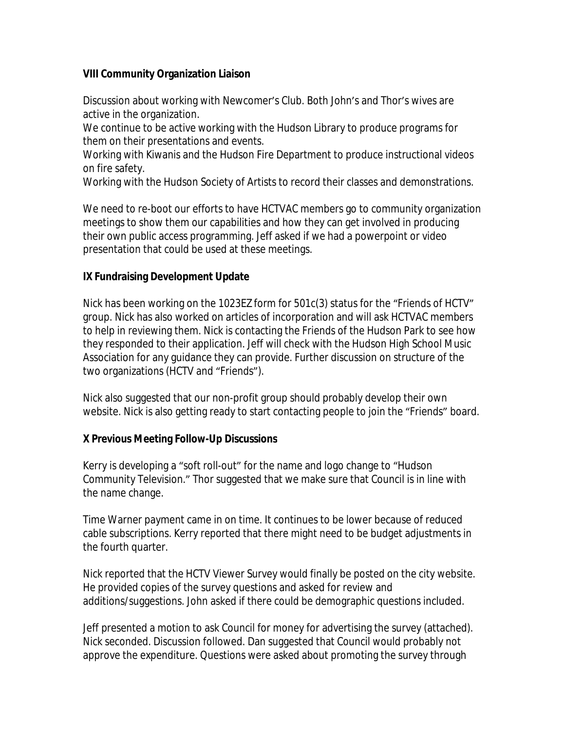# **VIII Community Organization Liaison**

Discussion about working with Newcomer's Club. Both John's and Thor's wives are active in the organization.

We continue to be active working with the Hudson Library to produce programs for them on their presentations and events.

Working with Kiwanis and the Hudson Fire Department to produce instructional videos on fire safety.

Working with the Hudson Society of Artists to record their classes and demonstrations.

We need to re-boot our efforts to have HCTVAC members go to community organization meetings to show them our capabilities and how they can get involved in producing their own public access programming. Jeff asked if we had a powerpoint or video presentation that could be used at these meetings.

# **IX Fundraising Development Update**

Nick has been working on the 1023EZ form for 501c(3) status for the "Friends of HCTV" group. Nick has also worked on articles of incorporation and will ask HCTVAC members to help in reviewing them. Nick is contacting the Friends of the Hudson Park to see how they responded to their application. Jeff will check with the Hudson High School Music Association for any guidance they can provide. Further discussion on structure of the two organizations (HCTV and "Friends").

Nick also suggested that our non-profit group should probably develop their own website. Nick is also getting ready to start contacting people to join the "Friends" board.

# **X Previous Meeting Follow-Up Discussions**

Kerry is developing a "soft roll-out" for the name and logo change to "Hudson Community Television." Thor suggested that we make sure that Council is in line with the name change.

Time Warner payment came in on time. It continues to be lower because of reduced cable subscriptions. Kerry reported that there might need to be budget adjustments in the fourth quarter.

Nick reported that the HCTV Viewer Survey would finally be posted on the city website. He provided copies of the survey questions and asked for review and additions/suggestions. John asked if there could be demographic questions included.

Jeff presented a motion to ask Council for money for advertising the survey (attached). Nick seconded. Discussion followed. Dan suggested that Council would probably not approve the expenditure. Questions were asked about promoting the survey through